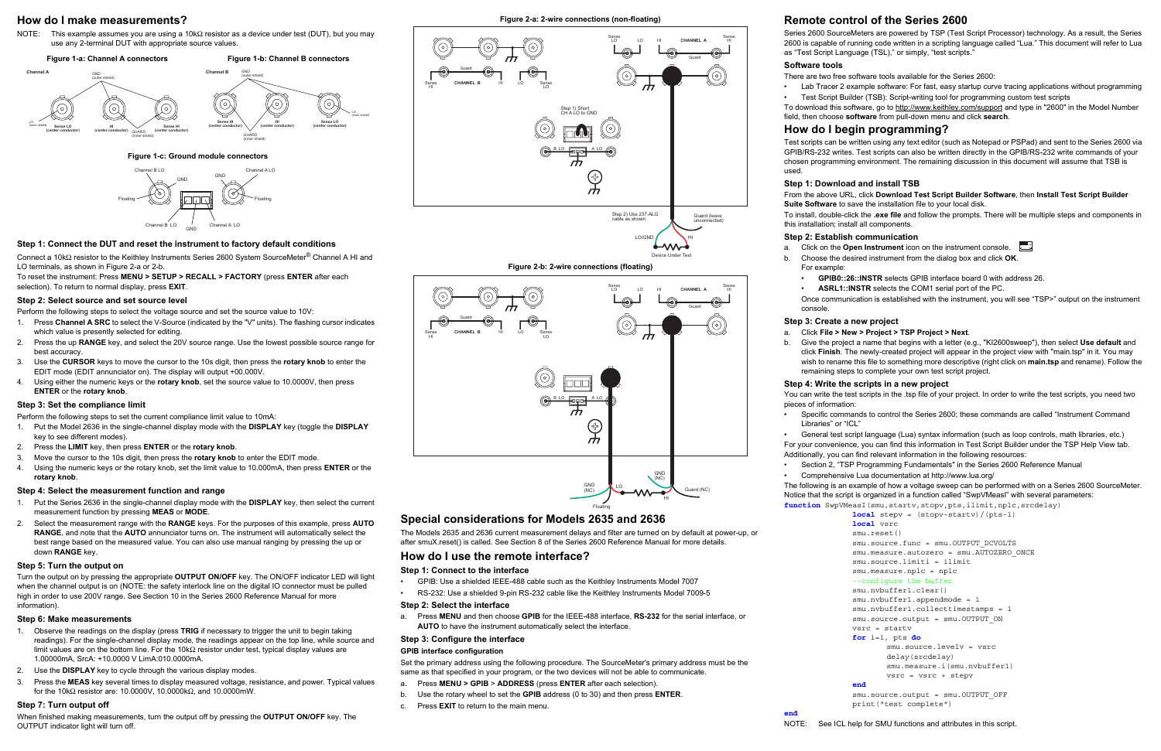## **How do I make measurements?**

NOTE: This example assumes you are using a 10kΩ resistor as a device under test (DUT), but you may use any 2-terminal DUT with appropriate source values.

 **Figure 1-c: Ground module connectors**

### **Step 1: Connect the DUT and reset the instrument to factory default conditions**

Connect a 10kΩ resistor to the Keithley Instruments Series 2600 System SourceMeter® Channel A HI and LO terminals, as shown in Figure 2-a or 2-b.

To reset the instrument: Press **MENU > SETUP > RECALL > FACTORY** (press **ENTER** after each selection). To return to normal display, press **EXIT**.

#### **Step 2: Select source and set source level**

Perform the following steps to select the voltage source and set the source value to 10V:

- 1. Press **Channel A SRC** to select the V-Source (indicated by the "V" units). The flashing cursor indicates which value is presently selected for editing.
- 2. Press the up **RANGE** key, and select the 20V source range. Use the lowest possible source range for best accuracy.
- 3. Use the **CURSOR** keys to move the cursor to the 10s digit, then press the **rotary knob** to enter the EDIT mode (EDIT annunciator on). The display will output +00.000V.
- 4. Using either the numeric keys or the **rotary knob**, set the source value to 10.0000V, then press **ENTER** or the **rotary knob**.

### **Step 3: Set the compliance limit**

Perform the following steps to set the current compliance limit value to 10mA:

- 1. Put the Model 2636 in the single-channel display mode with the **DISPLAY** key (toggle the **DISPLAY** key to see different modes).
- 2. Press the **LIMIT** key, then press **ENTER** or the **rotary knob**.
- 3. Move the cursor to the 10s digit, then press the **rotary knob** to enter the EDIT mode.
- 4. Using the numeric keys or the rotary knob, set the limit value to 10.000mA, then press **ENTER** or the **rotary knob**.

### **Step 4: Select the measurement function and range**

- 1. Put the Series 2636 in the single-channel display mode with the **DISPLAY** key, then select the current measurement function by pressing **MEAS** or **MODE**.
- 2. Select the measurement range with the **RANGE** keys. For the purposes of this example, press **AUTO RANGE**, and note that the **AUTO** annunciator turns on. The instrument will automatically select the best range based on the measured value. You can also use manual ranging by pressing the up or down **RANGE** key.

#### **Step 5: Turn the output on**

Turn the output on by pressing the appropriate **OUTPUT ON/OFF** key. The ON/OFF indicator LED will light when the channel output is on (NOTE: the safety interlock line on the digital IO connector must be pulled high in order to use 200V range. See Section 10 in the Series 2600 Reference Manual for more information).

### **Step 6: Make measurements**

To download this software, go to http://www.keithley.com/support and type in "2600" in the Model Number field, then choose **software** from pull-down menu and click **search**.

- 1. Observe the readings on the display (press **TRIG** if necessary to trigger the unit to begin taking readings). For the single-channel display mode, the readings appear on the top line, while source and limit values are on the bottom line. For the 10kΩ resistor under test, typical display values are 1.00000mA, SrcA: +10.0000 V LimA:010.0000mA.
- 2. Use the **DISPLAY** key to cycle through the various display modes.
- 3. Press the **MEAS** key several times to display measured voltage, resistance, and power. Typical values for the 10kΩ resistor are: 10.0000V, 10.0000kΩ, and 10.0000mW.

# **Step 7: Turn output off**

When finished making measurements, turn the output off by pressing the **OUTPUT ON/OFF** key. The OUTPUT indicator light will turn off.

**Figure 2-b: 2-wire connections (floating)**

# **Special considerations for Models 2635 and 2636**

The Models 2635 and 2636 current measurement delays and filter are turned on by default at power-up, or after smuX.reset() is called. See Section 8 of the Series 2600 Reference Manual for more details.

# **How do I use the remote interface?**

### **Step 1: Connect to the interface**

- GPIB: Use a shielded IEEE-488 cable such as the Keithley Instruments Model 7007
- RS-232: Use a shielded 9-pin RS-232 cable like the Keithley Instruments Model 7009-5

```
function SwpVMeasI(smu, startv, stopv, pts, ilimit, nplc, srcdelay)
               local stepv = (stopv-startv)/(pts-1)
               local vsrc
               smu.reset()
```

```
smu.source.func = smu.OUTPUT DCVOLTS
```
#### **Step 2: Select the interface**

a. Press **MENU** and then choose **GPIB** for the IEEE-488 interface, **RS-232** for the serial interface, or **AUTO** to have the instrument automatically select the interface.

```
smu.source.output = smu.OUTPUT ON
vsrc = startv
```
## **Step 3: Configure the interface**

smu.source.output = smu.OUTPUT OFF print("test complete")

### **GPIB interface configuration**

Set the primary address using the following procedure. The SourceMeter's primary address must be the same as that specified in your program, or the two devices will not be able to communicate.

- a. Press **MENU > GPIB** > **ADDRESS** (press **ENTER** after each selection).
- b. Use the rotary wheel to set the **GPIB** address (0 to 30) and then press **ENTER**.
- c. Press **EXIT** to return to the main menu.

# **Remote control of the Series 2600**

Series 2600 SourceMeters are powered by TSP (Test Script Processor) technology. As a result, the Series 2600 is capable of running code written in a scripting language called "Lua." This document will refer to Lua as "Test Script Language (TSL)," or simply, "test scripts."

# **Software tools**

There are two free software tools available for the Series 2600:

• Lab Tracer 2 example software: For fast, easy startup curve tracing applications without programming • Test Script Builder (TSB): Script-writing tool for programming custom test scripts

# **How do I begin programming?**

Test scripts can be written using any text editor (such as Notepad or PSPad) and sent to the Series 2600 via GPIB/RS-232 writes. Test scripts can also be written directly in the GPIB/RS-232 write commands of your chosen programming environment. The remaining discussion in this document will assume that TSB is used.

#### **Step 1: Download and install TSB**

#### From the above URL, click **Download Test Script Builder Software**, then **Install Test Script Builder Suite Software** to save the installation file to your local disk.

To install, double-click the **.exe file** and follow the prompts. There will be multiple steps and components in

this installation; install all components.

#### **Step 2: Establish communication**

a. Click on the **Open Instrument** icon on the instrument console. b. Choose the desired instrument from the dialog box and click **OK**.

- 
- For example:

• **GPIB0::26::INSTR** selects GPIB interface board 0 with address 26.



• **ASRL1::INSTR** selects the COM1 serial port of the PC.

Once communication is established with the instrument, you will see "TSP>" output on the instrument

console.

## **Step 3: Create a new project**

#### a. Click **File > New > Project > TSP Project > Next**.

b. Give the project a name that begins with a letter (e.g., "KI2600sweep"), then select **Use default** and click **Finish**. The newly-created project will appear in the project view with "main.tsp" in it. You may wish to rename this file to something more descriptive (right click on **main.tsp** and rename). Follow the remaining steps to complete your own test script project.

#### **Step 4: Write the scripts in a new project**

You can write the test scripts in the .tsp file of your project. In order to write the test scripts, you need two

pieces of information:

• Specific commands to control the Series 2600; these commands are called "Instrument Command

Libraries" or "ICL"

• General test script language (Lua) syntax information (such as loop controls, math libraries, etc.) For your convenience, you can find this information in Test Script Builder under the TSP Help View tab. Additionally, you can find relevant information in the following resources:

- 
- 

• Section 2, "TSP Programming Fundamentals" in the Series 2600 Reference Manual

• Comprehensive Lua documentation at http://www.lua.org/

The following is an example of how a voltage sweep can be performed with on a Series 2600 SourceMeter. Notice that the script is organized in a function called "SwpVMeasI" with several parameters:

> smu.measure.autozero = smu.AUTOZERO\_ONCE smu.source.limiti = ilimit

```
smu.measure.nplc = nplc
```

```
--configure the buffer
```

```
smu.nvbuffer1.clear()
```

```
smu.nvbuffer1.appendmode = 1
```

```
smu.nvbuffer1.collecttimestamps = 1
```

```
for i=1, pts do
```

```
smu.source.levelv = vsrc
delay(srcdelay)
smu.measure.i(smu.nvbuffer1)
vsrc = vsrc + stepv
```
#### **end**

**end**

NOTE: See ICL help for SMU functions and attributes in this script.